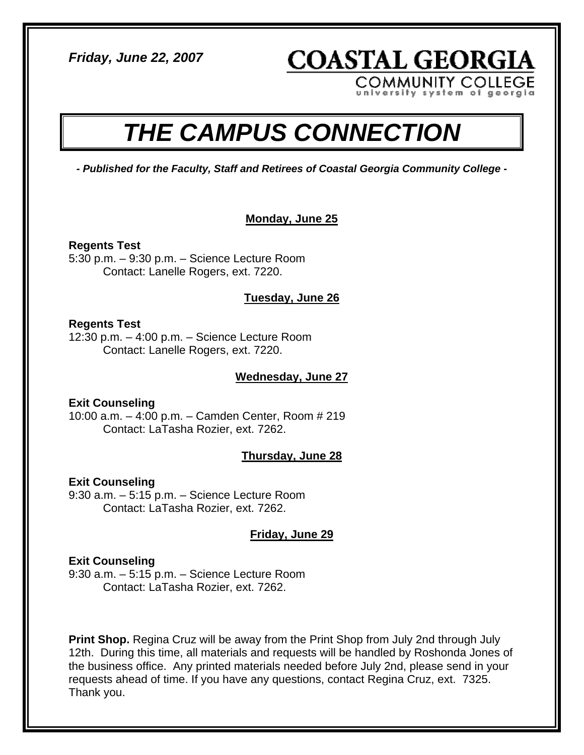*Friday, June 22, 2007* 

**COASTAL GEORGIA COMMUNITY COLLEGE** 

em of geo

# *THE CAMPUS CONNECTION*

*- Published for the Faculty, Staff and Retirees of Coastal Georgia Community College -* 

# **Monday, June 25**

**Regents Test**  5:30 p.m. – 9:30 p.m. – Science Lecture Room Contact: Lanelle Rogers, ext. 7220.

# **Tuesday, June 26**

## **Regents Test**

12:30 p.m. – 4:00 p.m. – Science Lecture Room Contact: Lanelle Rogers, ext. 7220.

# **Wednesday, June 27**

**Exit Counseling**  10:00 a.m. – 4:00 p.m. – Camden Center, Room # 219 Contact: LaTasha Rozier, ext. 7262.

# **Thursday, June 28**

# **Exit Counseling**

9:30 a.m. – 5:15 p.m. – Science Lecture Room Contact: LaTasha Rozier, ext. 7262.

# **Friday, June 29**

## **Exit Counseling**

9:30 a.m. – 5:15 p.m. – Science Lecture Room Contact: LaTasha Rozier, ext. 7262.

**Print Shop.** Regina Cruz will be away from the Print Shop from July 2nd through July 12th. During this time, all materials and requests will be handled by Roshonda Jones of the business office. Any printed materials needed before July 2nd, please send in your requests ahead of time. If you have any questions, contact Regina Cruz, ext. 7325. Thank you.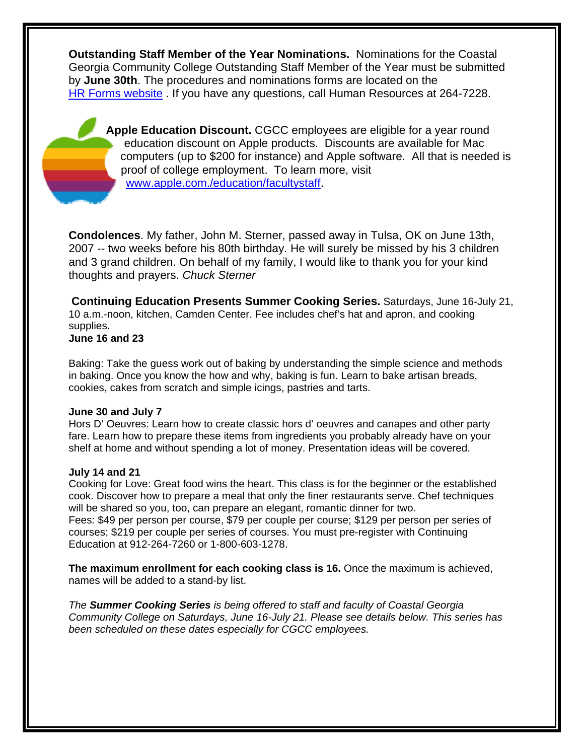**Outstanding Staff Member of the Year Nominations.** Nominations for the Coastal Georgia Community College Outstanding Staff Member of the Year must be submitted by **June 30th**. The procedures and nominations forms are located on the [HR Forms website](http://www.cgcc.edu/humres/hr_forms.html) . If you have any questions, call Human Resources at 264-7228.

Apple Education Discount. CGCC employees are eligible for a year round c omputers (up to \$200 for instance) and Apple software. All that is needed is p roof of college employment. To learn more, visit education discount on Apple products. Discounts are available for Mac [www.apple.com./education/facultystaff](http://www.apple.com./education/facultystaff).

**Condolences**. My father, John M. Sterner, passed away in Tulsa, OK on June 13th, 2007 -- two weeks before his 80th birthday. He will surely be missed by his 3 children and 3 grand children. On behalf of my family, I would like to thank you for your kind thoughts and prayers. *Chuck Sterner* 

**Continuing Education Presents Summer Cooking Series.** Saturdays, June 16-July 21, 10 a.m.-noon, kitchen, Camden Center. Fee includes chef's hat and apron, and cooking supplies. **June 16 and 23** 

Baking: Take the guess work out of baking by understanding the simple science and methods in baking. Once you know the how and why, baking is fun. Learn to bake artisan breads, cookies, cakes from scratch and simple icings, pastries and tarts.

#### **June 30 and July 7**

Hors D' Oeuvres: Learn how to create classic hors d' oeuvres and canapes and other party fare. Learn how to prepare these items from ingredients you probably already have on your shelf at home and without spending a lot of money. Presentation ideas will be covered.

## **July 14 and 21**

Cooking for Love: Great food wins the heart. This class is for the beginner or the established cook. Discover how to prepare a meal that only the finer restaurants serve. Chef techniques will be shared so you, too, can prepare an elegant, romantic dinner for two. Fees: \$49 per person per course, \$79 per couple per course; \$129 per person per series of courses; \$219 per couple per series of courses. You must pre-register with Continuing Education at 912-264-7260 or 1-800-603-1278.

**The maximum enrollment for each cooking class is 16.** Once the maximum is achieved, names will be added to a stand-by list.

*The Summer Cooking Series is being offered to staff and faculty of Coastal Georgia Community College on Saturdays, June 16-July 21. Please see details below. This series has been scheduled on these dates especially for CGCC employees.*